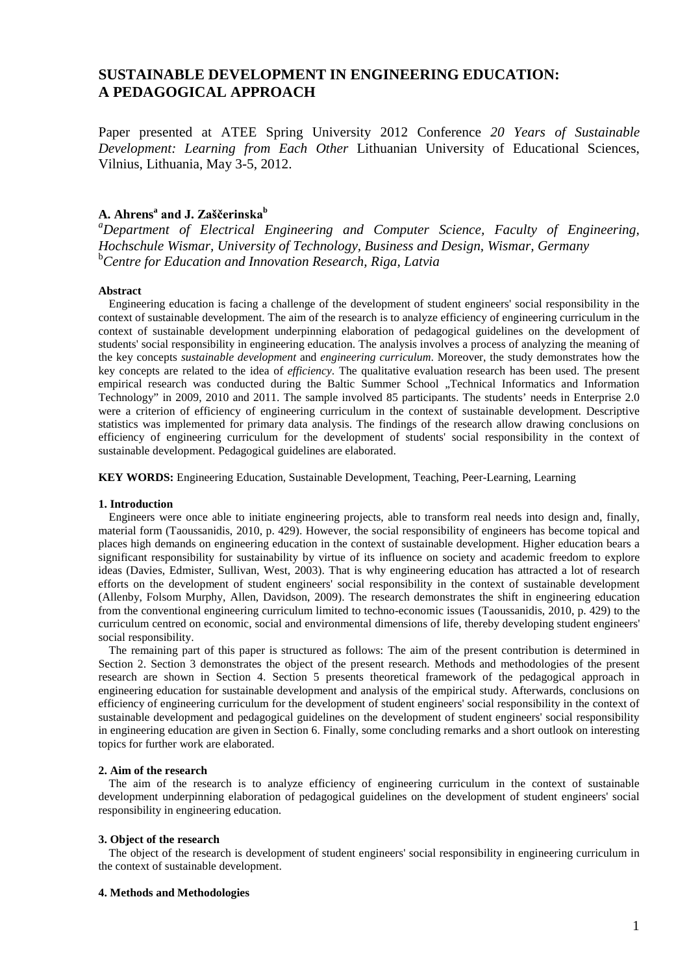# **SUSTAINABLE DEVELOPMENT IN ENGINEERING EDUCATION: A PEDAGOGICAL APPROACH**

Paper presented at ATEE Spring University 2012 Conference *20 Years of Sustainable Development: Learning from Each Other* Lithuanian University of Educational Sciences, Vilnius, Lithuania, May 3-5, 2012.

# **A. Ahrens<sup>a</sup> and J. Zaščerinska<sup>b</sup>**

*a Department of Electrical Engineering and Computer Science, Faculty of Engineering, Hochschule Wismar, University of Technology, Business and Design, Wismar, Germany* b *Centre for Education and Innovation Research, Riga, Latvia*

### **Abstract**

Engineering education is facing a challenge of the development of student engineers' social responsibility in the context of sustainable development. The aim of the research is to analyze efficiency of engineering curriculum in the context of sustainable development underpinning elaboration of pedagogical guidelines on the development of students' social responsibility in engineering education. The analysis involves a process of analyzing the meaning of the key concepts *sustainable development* and *engineering curriculum*. Moreover, the study demonstrates how the key concepts are related to the idea of *efficiency*. The qualitative evaluation research has been used. The present empirical research was conducted during the Baltic Summer School "Technical Informatics and Information Technology" in 2009, 2010 and 2011. The sample involved 85 participants. The students' needs in Enterprise 2.0 were a criterion of efficiency of engineering curriculum in the context of sustainable development. Descriptive statistics was implemented for primary data analysis. The findings of the research allow drawing conclusions on efficiency of engineering curriculum for the development of students' social responsibility in the context of sustainable development. Pedagogical guidelines are elaborated.

**KEY WORDS:** Engineering Education, Sustainable Development, Teaching, Peer-Learning, Learning

# **1. Introduction**

Engineers were once able to initiate engineering projects, able to transform real needs into design and, finally, material form (Taoussanidis, 2010, p. 429). However, the social responsibility of engineers has become topical and places high demands on engineering education in the context of sustainable development. Higher education bears a significant responsibility for sustainability by virtue of its influence on society and academic freedom to explore ideas (Davies, Edmister, Sullivan, West, 2003). That is why engineering education has attracted a lot of research efforts on the development of student engineers' social responsibility in the context of sustainable development (Allenby, Folsom Murphy, Allen, Davidson, 2009). The research demonstrates the shift in engineering education from the conventional engineering curriculum limited to techno-economic issues (Taoussanidis, 2010, p. 429) to the curriculum centred on economic, social and environmental dimensions of life, thereby developing student engineers' social responsibility.

The remaining part of this paper is structured as follows: The aim of the present contribution is determined in Section 2. Section 3 demonstrates the object of the present research. Methods and methodologies of the present research are shown in Section 4. Section 5 presents theoretical framework of the pedagogical approach in engineering education for sustainable development and analysis of the empirical study. Afterwards, conclusions on efficiency of engineering curriculum for the development of student engineers' social responsibility in the context of sustainable development and pedagogical guidelines on the development of student engineers' social responsibility in engineering education are given in Section 6. Finally, some concluding remarks and a short outlook on interesting topics for further work are elaborated.

# **2. Aim of the research**

The aim of the research is to analyze efficiency of engineering curriculum in the context of sustainable development underpinning elaboration of pedagogical guidelines on the development of student engineers' social responsibility in engineering education.

### **3. Object of the research**

The object of the research is development of student engineers' social responsibility in engineering curriculum in the context of sustainable development.

# **4. Methods and Methodologies**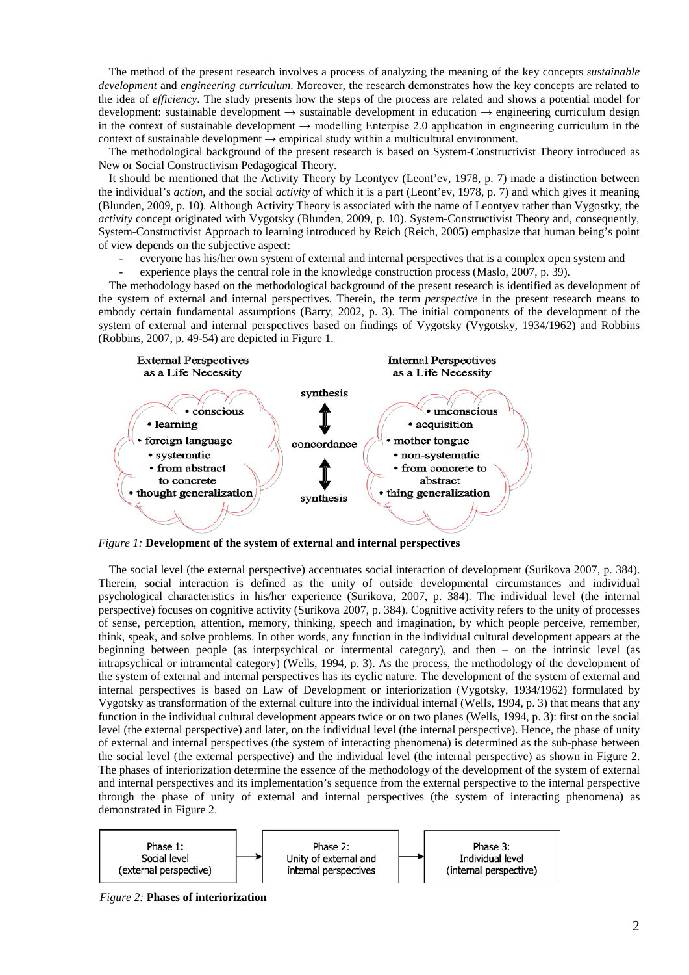The method of the present research involves a process of analyzing the meaning of the key concepts *sustainable development* and *engineering curriculum*. Moreover, the research demonstrates how the key concepts are related to the idea of *efficiency*. The study presents how the steps of the process are related and shows a potential model for development: sustainable development → sustainable development in education → engineering curriculum design in the context of sustainable development  $\rightarrow$  modelling Enterpise 2.0 application in engineering curriculum in the context of sustainable development  $\rightarrow$  empirical study within a multicultural environment.

The methodological background of the present research is based on System-Constructivist Theory introduced as New or Social Constructivism Pedagogical Theory.

It should be mentioned that the Activity Theory by Leontyev (Leont'ev, 1978, p. 7) made a distinction between the individual's *action*, and the social *activity* of which it is a part (Leont'ev, 1978, p. 7) and which gives it meaning (Blunden, 2009, p. 10). Although Activity Theory is associated with the name of Leontyev rather than Vygostky, the *activity* concept originated with Vygotsky (Blunden, 2009, p. 10). System-Constructivist Theory and, consequently, System-Constructivist Approach to learning introduced by Reich (Reich, 2005) emphasize that human being's point of view depends on the subjective aspect:

- everyone has his/her own system of external and internal perspectives that is a complex open system and
- experience plays the central role in the knowledge construction process (Maslo, 2007, p. 39).

The methodology based on the methodological background of the present research is identified as development of the system of external and internal perspectives. Therein, the term *perspective* in the present research means to embody certain fundamental assumptions (Barry, 2002, p. 3). The initial components of the development of the system of external and internal perspectives based on findings of Vygotsky (Vygotsky, 1934/1962) and Robbins (Robbins, 2007, p. 49-54) are depicted in Figure 1.



*Figure 1:* **Development of the system of external and internal perspectives**

The social level (the external perspective) accentuates social interaction of development (Surikova 2007, p. 384). Therein, social interaction is defined as the unity of outside developmental circumstances and individual psychological characteristics in his/her experience (Surikova, 2007, p. 384). The individual level (the internal perspective) focuses on cognitive activity (Surikova 2007, p. 384). Cognitive activity refers to the unity of processes of sense, perception, attention, memory, thinking, speech and imagination, by which people perceive, remember, think, speak, and solve problems. In other words, any function in the individual cultural development appears at the beginning between people (as interpsychical or intermental category), and then – on the intrinsic level (as intrapsychical or intramental category) (Wells, 1994, p. 3). As the process, the methodology of the development of the system of external and internal perspectives has its cyclic nature. The development of the system of external and internal perspectives is based on Law of Development or interiorization (Vygotsky, 1934/1962) formulated by Vygotsky as transformation of the external culture into the individual internal (Wells, 1994, p. 3) that means that any function in the individual cultural development appears twice or on two planes (Wells, 1994, p. 3): first on the social level (the external perspective) and later, on the individual level (the internal perspective). Hence, the phase of unity of external and internal perspectives (the system of interacting phenomena) is determined as the sub-phase between the social level (the external perspective) and the individual level (the internal perspective) as shown in Figure 2. The phases of interiorization determine the essence of the methodology of the development of the system of external and internal perspectives and its implementation's sequence from the external perspective to the internal perspective through the phase of unity of external and internal perspectives (the system of interacting phenomena) as demonstrated in Figure 2.



 *Figure 2:* **Phases of interiorization**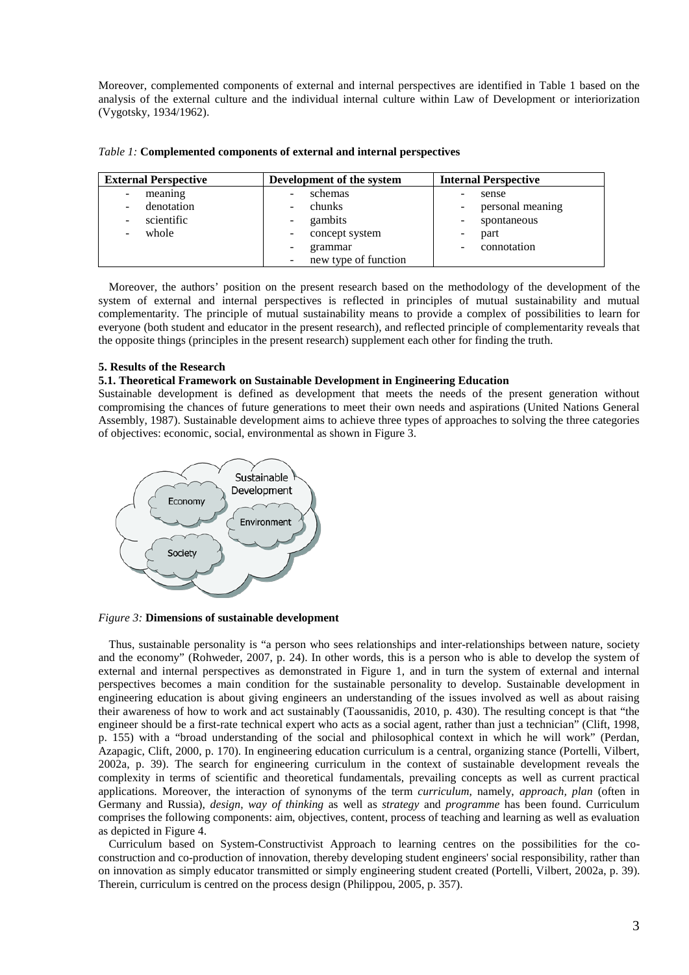Moreover, complemented components of external and internal perspectives are identified in Table 1 based on the analysis of the external culture and the individual internal culture within Law of Development or interiorization (Vygotsky, 1934/1962).

| <b>External Perspective</b>                                                                           | Development of the system                                                                                  | <b>Internal Perspective</b>                                     |  |
|-------------------------------------------------------------------------------------------------------|------------------------------------------------------------------------------------------------------------|-----------------------------------------------------------------|--|
| meaning<br>-<br>denotation<br>-<br>scientific<br>$\overline{\phantom{a}}$<br>whole<br>$\qquad \qquad$ | schemas<br>-<br>chunks<br>-<br>gambits<br>$\sim$<br>concept system<br>-<br>grammar<br>new type of function | sense<br>personal meaning<br>spontaneous<br>part<br>connotation |  |

*Table 1:* **Complemented components of external and internal perspectives** 

Moreover, the authors' position on the present research based on the methodology of the development of the system of external and internal perspectives is reflected in principles of mutual sustainability and mutual complementarity. The principle of mutual sustainability means to provide a complex of possibilities to learn for everyone (both student and educator in the present research), and reflected principle of complementarity reveals that the opposite things (principles in the present research) supplement each other for finding the truth.

# **5. Results of the Research**

### **5.1. Theoretical Framework on Sustainable Development in Engineering Education**

Sustainable development is defined as development that meets the needs of the present generation without compromising the chances of future generations to meet their own needs and aspirations (United Nations General Assembly, 1987). Sustainable development aims to achieve three types of approaches to solving the three categories of objectives: economic, social, environmental as shown in Figure 3.



*Figure 3:* **Dimensions of sustainable development**

Thus, sustainable personality is "a person who sees relationships and inter-relationships between nature, society and the economy" (Rohweder, 2007, p. 24). In other words, this is a person who is able to develop the system of external and internal perspectives as demonstrated in Figure 1, and in turn the system of external and internal perspectives becomes a main condition for the sustainable personality to develop. Sustainable development in engineering education is about giving engineers an understanding of the issues involved as well as about raising their awareness of how to work and act sustainably (Taoussanidis, 2010, p. 430). The resulting concept is that "the engineer should be a first-rate technical expert who acts as a social agent, rather than just a technician" (Clift, 1998, p. 155) with a "broad understanding of the social and philosophical context in which he will work" (Perdan, Azapagic, Clift, 2000, p. 170). In engineering education curriculum is a central, organizing stance (Portelli, Vilbert, 2002a, p. 39). The search for engineering curriculum in the context of sustainable development reveals the complexity in terms of scientific and theoretical fundamentals, prevailing concepts as well as current practical applications. Moreover, the interaction of synonyms of the term *curriculum*, namely, *approach, plan* (often in Germany and Russia), *design*, *way of thinking* as well as *strategy* and *programme* has been found. Curriculum comprises the following components: aim, objectives, content, process of teaching and learning as well as evaluation as depicted in Figure 4.

Curriculum based on System-Constructivist Approach to learning centres on the possibilities for the coconstruction and co-production of innovation, thereby developing student engineers' social responsibility, rather than on innovation as simply educator transmitted or simply engineering student created (Portelli, Vilbert, 2002a, p. 39). Therein, curriculum is centred on the process design (Philippou, 2005, p. 357).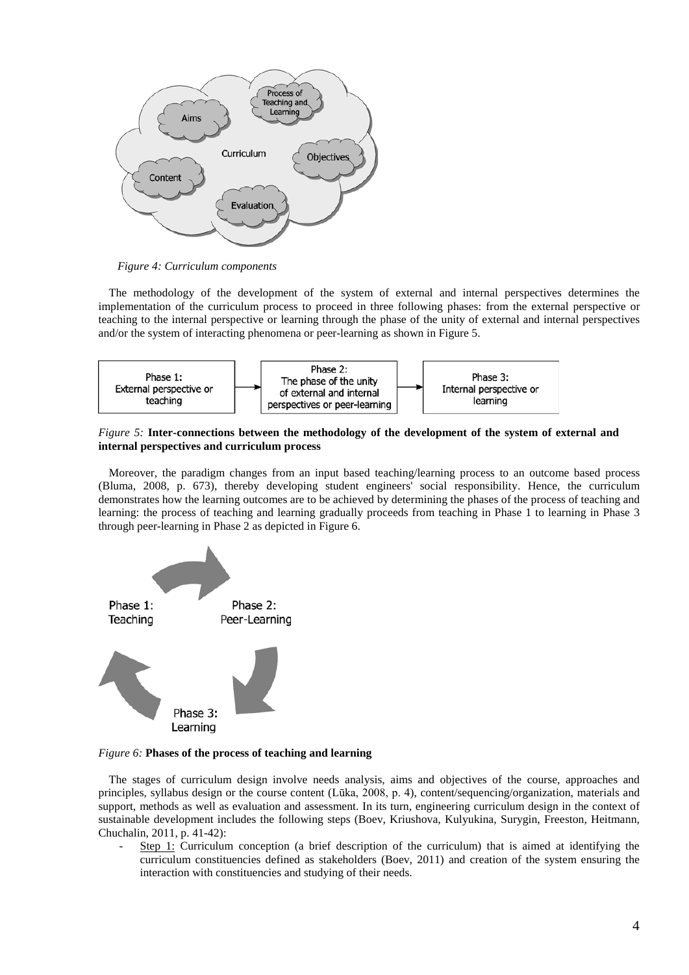

*Figure 4: Curriculum components* 

The methodology of the development of the system of external and internal perspectives determines the implementation of the curriculum process to proceed in three following phases: from the external perspective or teaching to the internal perspective or learning through the phase of the unity of external and internal perspectives and/or the system of interacting phenomena or peer-learning as shown in Figure 5.



*Figure 5:* **Inter-connections between the methodology of the development of the system of external and internal perspectives and curriculum process**

Moreover, the paradigm changes from an input based teaching/learning process to an outcome based process (Bluma, 2008, p. 673), thereby developing student engineers' social responsibility. Hence, the curriculum demonstrates how the learning outcomes are to be achieved by determining the phases of the process of teaching and learning: the process of teaching and learning gradually proceeds from teaching in Phase 1 to learning in Phase 3 through peer-learning in Phase 2 as depicted in Figure 6.



*Figure 6:* **Phases of the process of teaching and learning**

The stages of curriculum design involve needs analysis, aims and objectives of the course, approaches and principles, syllabus design or the course content (Lūka, 2008, p. 4), content/sequencing/organization, materials and support, methods as well as evaluation and assessment. In its turn, engineering curriculum design in the context of sustainable development includes the following steps (Boev, Kriushova, Kulyukina, Surygin, Freeston, Heitmann, Chuchalin, 2011, p. 41-42):

Step 1: Curriculum conception (a brief description of the curriculum) that is aimed at identifying the curriculum constituencies defined as stakeholders (Boev, 2011) and creation of the system ensuring the interaction with constituencies and studying of their needs.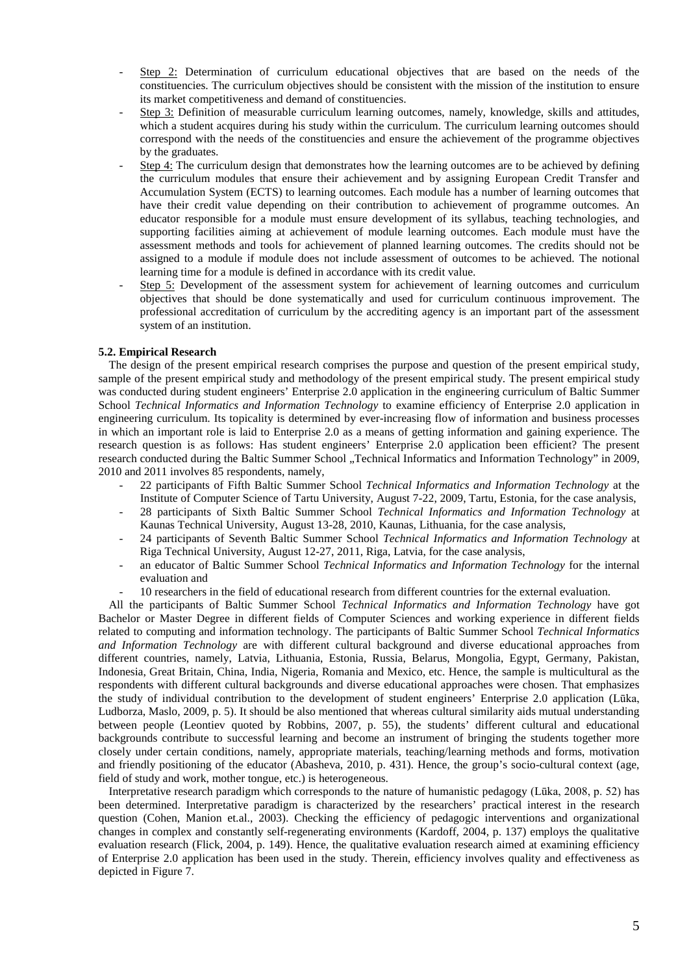- Step 2: Determination of curriculum educational objectives that are based on the needs of the constituencies. The curriculum objectives should be consistent with the mission of the institution to ensure its market competitiveness and demand of constituencies.
- Step 3: Definition of measurable curriculum learning outcomes, namely, knowledge, skills and attitudes, which a student acquires during his study within the curriculum. The curriculum learning outcomes should correspond with the needs of the constituencies and ensure the achievement of the programme objectives by the graduates.
- Step 4: The curriculum design that demonstrates how the learning outcomes are to be achieved by defining the curriculum modules that ensure their achievement and by assigning European Credit Transfer and Accumulation System (ECTS) to learning outcomes. Each module has a number of learning outcomes that have their credit value depending on their contribution to achievement of programme outcomes. An educator responsible for a module must ensure development of its syllabus, teaching technologies, and supporting facilities aiming at achievement of module learning outcomes. Each module must have the assessment methods and tools for achievement of planned learning outcomes. The credits should not be assigned to a module if module does not include assessment of outcomes to be achieved. The notional learning time for a module is defined in accordance with its credit value.
- Step 5: Development of the assessment system for achievement of learning outcomes and curriculum objectives that should be done systematically and used for curriculum continuous improvement. The professional accreditation of curriculum by the accrediting agency is an important part of the assessment system of an institution.

# **5.2. Empirical Research**

The design of the present empirical research comprises the purpose and question of the present empirical study, sample of the present empirical study and methodology of the present empirical study. The present empirical study was conducted during student engineers' Enterprise 2.0 application in the engineering curriculum of Baltic Summer School *Technical Informatics and Information Technology* to examine efficiency of Enterprise 2.0 application in engineering curriculum. Its topicality is determined by ever-increasing flow of information and business processes in which an important role is laid to Enterprise 2.0 as a means of getting information and gaining experience. The research question is as follows: Has student engineers' Enterprise 2.0 application been efficient? The present research conducted during the Baltic Summer School "Technical Informatics and Information Technology" in 2009, 2010 and 2011 involves 85 respondents, namely,

- 22 participants of Fifth Baltic Summer School *Technical Informatics and Information Technology* at the Institute of Computer Science of Tartu University, August 7-22, 2009, Tartu, Estonia, for the case analysis,
- 28 participants of Sixth Baltic Summer School *Technical Informatics and Information Technology* at Kaunas Technical University, August 13-28, 2010, Kaunas, Lithuania, for the case analysis,
- 24 participants of Seventh Baltic Summer School *Technical Informatics and Information Technology* at Riga Technical University, August 12-27, 2011, Riga, Latvia, for the case analysis,
- an educator of Baltic Summer School *Technical Informatics and Information Technology* for the internal evaluation and
- 10 researchers in the field of educational research from different countries for the external evaluation.

All the participants of Baltic Summer School *Technical Informatics and Information Technology* have got Bachelor or Master Degree in different fields of Computer Sciences and working experience in different fields related to computing and information technology. The participants of Baltic Summer School *Technical Informatics and Information Technology* are with different cultural background and diverse educational approaches from different countries, namely, Latvia, Lithuania, Estonia, Russia, Belarus, Mongolia, Egypt, Germany, Pakistan, Indonesia, Great Britain, China, India, Nigeria, Romania and Mexico, etc. Hence, the sample is multicultural as the respondents with different cultural backgrounds and diverse educational approaches were chosen. That emphasizes the study of individual contribution to the development of student engineers' Enterprise 2.0 application (Lūka, Ludborza, Maslo, 2009, p. 5). It should be also mentioned that whereas cultural similarity aids mutual understanding between people (Leontiev quoted by Robbins, 2007, p. 55), the students' different cultural and educational backgrounds contribute to successful learning and become an instrument of bringing the students together more closely under certain conditions, namely, appropriate materials, teaching/learning methods and forms, motivation and friendly positioning of the educator (Abasheva, 2010, p. 431). Hence, the group's socio-cultural context (age, field of study and work, mother tongue, etc.) is heterogeneous.

Interpretative research paradigm which corresponds to the nature of humanistic pedagogy (Lūka, 2008, p. 52) has been determined. Interpretative paradigm is characterized by the researchers' practical interest in the research question (Cohen, Manion et.al., 2003). Checking the efficiency of pedagogic interventions and organizational changes in complex and constantly self-regenerating environments (Kardoff, 2004, p. 137) employs the qualitative evaluation research (Flick, 2004, p. 149). Hence, the qualitative evaluation research aimed at examining efficiency of Enterprise 2.0 application has been used in the study. Therein, efficiency involves quality and effectiveness as depicted in Figure 7.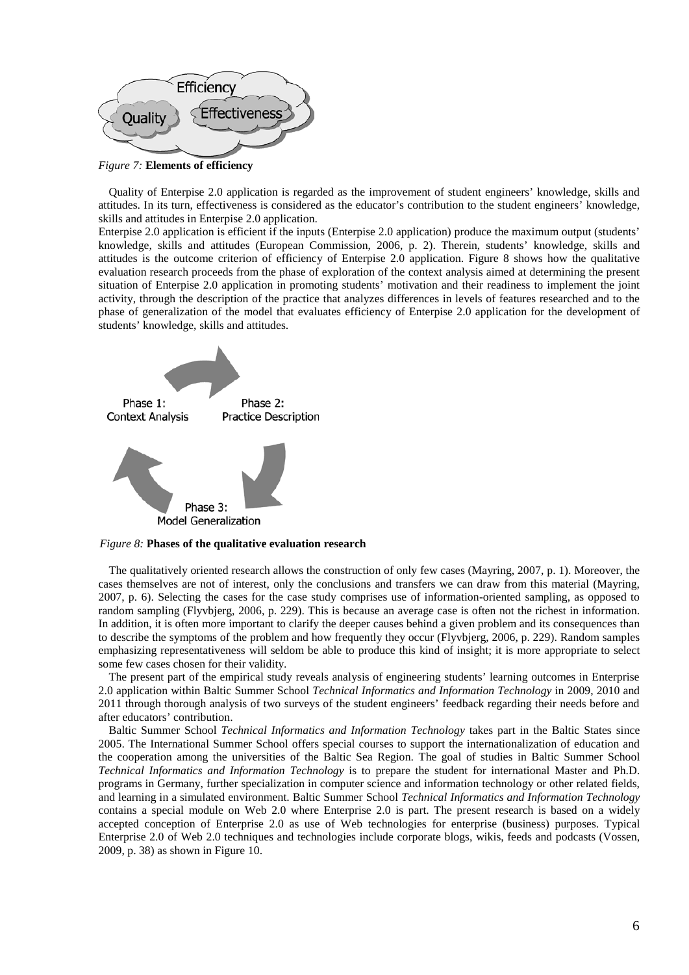

*Figure 7:* **Elements of efficiency**

Quality of Enterpise 2.0 application is regarded as the improvement of student engineers' knowledge, skills and attitudes. In its turn, effectiveness is considered as the educator's contribution to the student engineers' knowledge, skills and attitudes in Enterpise 2.0 application.

Enterpise 2.0 application is efficient if the inputs (Enterpise 2.0 application) produce the maximum output (students' knowledge, skills and attitudes (European Commission, 2006, p. 2). Therein, students' knowledge, skills and attitudes is the outcome criterion of efficiency of Enterpise 2.0 application. Figure 8 shows how the qualitative evaluation research proceeds from the phase of exploration of the context analysis aimed at determining the present situation of Enterpise 2.0 application in promoting students' motivation and their readiness to implement the joint activity, through the description of the practice that analyzes differences in levels of features researched and to the phase of generalization of the model that evaluates efficiency of Enterpise 2.0 application for the development of students' knowledge, skills and attitudes.



 *Figure 8:* **Phases of the qualitative evaluation research**

The qualitatively oriented research allows the construction of only few cases (Mayring, 2007, p. 1). Moreover, the cases themselves are not of interest, only the conclusions and transfers we can draw from this material (Mayring, 2007, p. 6). Selecting the cases for the case study comprises use of information-oriented sampling, as opposed to random sampling (Flyvbjerg, 2006, p. 229). This is because an average case is often not the richest in information. In addition, it is often more important to clarify the deeper causes behind a given problem and its consequences than to describe the symptoms of the problem and how frequently they occur (Flyvbjerg, 2006, p. 229). Random samples emphasizing representativeness will seldom be able to produce this kind of insight; it is more appropriate to select some few cases chosen for their validity.

The present part of the empirical study reveals analysis of engineering students' learning outcomes in Enterprise 2.0 application within Baltic Summer School *Technical Informatics and Information Technology* in 2009, 2010 and 2011 through thorough analysis of two surveys of the student engineers' feedback regarding their needs before and after educators' contribution.

Baltic Summer School *Technical Informatics and Information Technology* takes part in the Baltic States since 2005. The International Summer School offers special courses to support the internationalization of education and the cooperation among the universities of the Baltic Sea Region. The goal of studies in Baltic Summer School *Technical Informatics and Information Technology* is to prepare the student for international Master and Ph.D. programs in Germany, further specialization in computer science and information technology or other related fields, and learning in a simulated environment. Baltic Summer School *Technical Informatics and Information Technology* contains a special module on Web 2.0 where Enterprise 2.0 is part. The present research is based on a widely accepted conception of Enterprise 2.0 as use of Web technologies for enterprise (business) purposes. Typical Enterprise 2.0 of Web 2.0 techniques and technologies include corporate blogs, wikis, feeds and podcasts (Vossen, 2009, p. 38) as shown in Figure 10.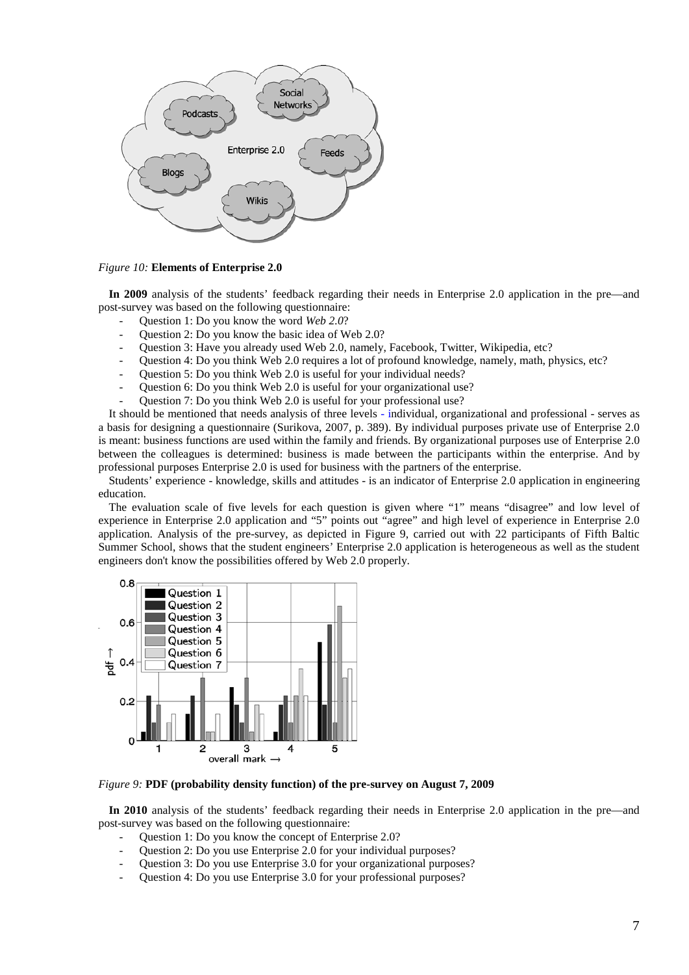

#### *Figure 10:* **Elements of Enterprise 2.0**

**In 2009** analysis of the students' feedback regarding their needs in Enterprise 2.0 application in the pre—and post-survey was based on the following questionnaire:

- Question 1: Do you know the word *Web 2.0*?
- Question 2: Do you know the basic idea of Web 2.0?
- Question 3: Have you already used Web 2.0, namely, Facebook, Twitter, Wikipedia, etc?
- Question 4: Do you think Web 2.0 requires a lot of profound knowledge, namely, math, physics, etc?
- Question 5: Do you think Web 2.0 is useful for your individual needs?
- Question 6: Do you think Web 2.0 is useful for your organizational use?
- Question 7: Do you think Web 2.0 is useful for your professional use?

It should be mentioned that needs analysis of three levels - individual, organizational and professional - serves as a basis for designing a questionnaire (Surikova, 2007, p. 389). By individual purposes private use of Enterprise 2.0 is meant: business functions are used within the family and friends. By organizational purposes use of Enterprise 2.0 between the colleagues is determined: business is made between the participants within the enterprise. And by professional purposes Enterprise 2.0 is used for business with the partners of the enterprise.

Students' experience - knowledge, skills and attitudes - is an indicator of Enterprise 2.0 application in engineering education.

The evaluation scale of five levels for each question is given where "1" means "disagree" and low level of experience in Enterprise 2.0 application and "5" points out "agree" and high level of experience in Enterprise 2.0 application. Analysis of the pre-survey, as depicted in Figure 9, carried out with 22 participants of Fifth Baltic Summer School, shows that the student engineers' Enterprise 2.0 application is heterogeneous as well as the student engineers don't know the possibilities offered by Web 2.0 properly.



*Figure 9:* **PDF (probability density function) of the pre-survey on August 7, 2009**

**In 2010** analysis of the students' feedback regarding their needs in Enterprise 2.0 application in the pre—and post-survey was based on the following questionnaire:

- Question 1: Do you know the concept of Enterprise 2.0?
- Question 2: Do you use Enterprise 2.0 for your individual purposes?
- Question 3: Do you use Enterprise 3.0 for your organizational purposes?
- Question 4: Do you use Enterprise 3.0 for your professional purposes?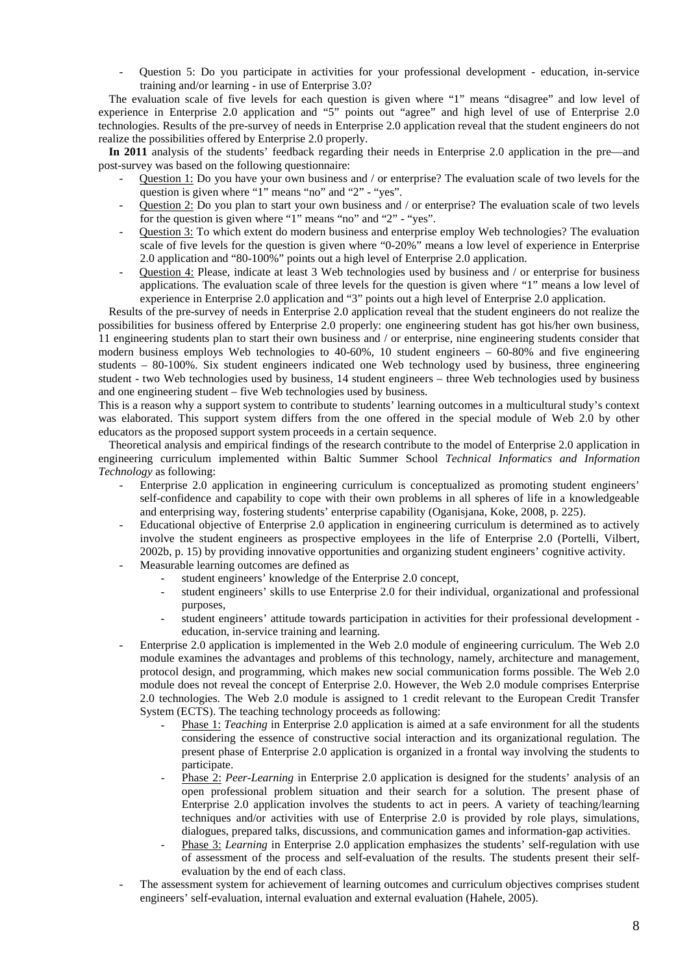- Question 5: Do you participate in activities for your professional development - education, in-service training and/or learning - in use of Enterprise 3.0?

The evaluation scale of five levels for each question is given where "1" means "disagree" and low level of experience in Enterprise 2.0 application and "5" points out "agree" and high level of use of Enterprise 2.0 technologies. Results of the pre-survey of needs in Enterprise 2.0 application reveal that the student engineers do not realize the possibilities offered by Enterprise 2.0 properly.

**In 2011** analysis of the students' feedback regarding their needs in Enterprise 2.0 application in the pre—and post-survey was based on the following questionnaire:

- Question 1: Do you have your own business and / or enterprise? The evaluation scale of two levels for the question is given where "1" means "no" and "2" - "yes".
- Question 2: Do you plan to start your own business and / or enterprise? The evaluation scale of two levels for the question is given where "1" means "no" and "2" - "yes".
- Question 3: To which extent do modern business and enterprise employ Web technologies? The evaluation scale of five levels for the question is given where "0-20%" means a low level of experience in Enterprise 2.0 application and "80-100%" points out a high level of Enterprise 2.0 application.
- Question 4: Please, indicate at least 3 Web technologies used by business and / or enterprise for business applications. The evaluation scale of three levels for the question is given where "1" means a low level of experience in Enterprise 2.0 application and "3" points out a high level of Enterprise 2.0 application.

Results of the pre-survey of needs in Enterprise 2.0 application reveal that the student engineers do not realize the possibilities for business offered by Enterprise 2.0 properly: one engineering student has got his/her own business, 11 engineering students plan to start their own business and / or enterprise, nine engineering students consider that modern business employs Web technologies to 40-60%, 10 student engineers – 60-80% and five engineering students – 80-100%. Six student engineers indicated one Web technology used by business, three engineering student - two Web technologies used by business, 14 student engineers – three Web technologies used by business and one engineering student – five Web technologies used by business.

This is a reason why a support system to contribute to students' learning outcomes in a multicultural study's context was elaborated. This support system differs from the one offered in the special module of Web 2.0 by other educators as the proposed support system proceeds in a certain sequence.

Theoretical analysis and empirical findings of the research contribute to the model of Enterprise 2.0 application in engineering curriculum implemented within Baltic Summer School *Technical Informatics and Information Technology* as following:

- Enterprise 2.0 application in engineering curriculum is conceptualized as promoting student engineers' self-confidence and capability to cope with their own problems in all spheres of life in a knowledgeable and enterprising way, fostering students' enterprise capability (Oganisjana, Koke, 2008, p. 225).
- Educational objective of Enterprise 2.0 application in engineering curriculum is determined as to actively involve the student engineers as prospective employees in the life of Enterprise 2.0 (Portelli, Vilbert, 2002b, p. 15) by providing innovative opportunities and organizing student engineers' cognitive activity.
- Measurable learning outcomes are defined as
	- student engineers' knowledge of the Enterprise 2.0 concept.
	- student engineers' skills to use Enterprise 2.0 for their individual, organizational and professional purposes,
	- student engineers' attitude towards participation in activities for their professional development education, in-service training and learning.
- Enterprise 2.0 application is implemented in the Web 2.0 module of engineering curriculum. The Web 2.0 module examines the advantages and problems of this technology, namely, architecture and management, protocol design, and programming, which makes new social communication forms possible. The Web 2.0 module does not reveal the concept of Enterprise 2.0. However, the Web 2.0 module comprises Enterprise 2.0 technologies. The Web 2.0 module is assigned to 1 credit relevant to the European Credit Transfer System (ECTS). The teaching technology proceeds as following:
	- Phase 1: *Teaching* in Enterprise 2.0 application is aimed at a safe environment for all the students considering the essence of constructive social interaction and its organizational regulation. The present phase of Enterprise 2.0 application is organized in a frontal way involving the students to participate.
	- Phase 2: Peer-Learning in Enterprise 2.0 application is designed for the students' analysis of an open professional problem situation and their search for a solution. The present phase of Enterprise 2.0 application involves the students to act in peers. A variety of teaching/learning techniques and/or activities with use of Enterprise 2.0 is provided by role plays, simulations, dialogues, prepared talks, discussions, and communication games and information-gap activities.
	- Phase 3: *Learning* in Enterprise 2.0 application emphasizes the students' self-regulation with use of assessment of the process and self-evaluation of the results. The students present their selfevaluation by the end of each class.
- The assessment system for achievement of learning outcomes and curriculum objectives comprises student engineers' self-evaluation, internal evaluation and external evaluation (Hahele, 2005).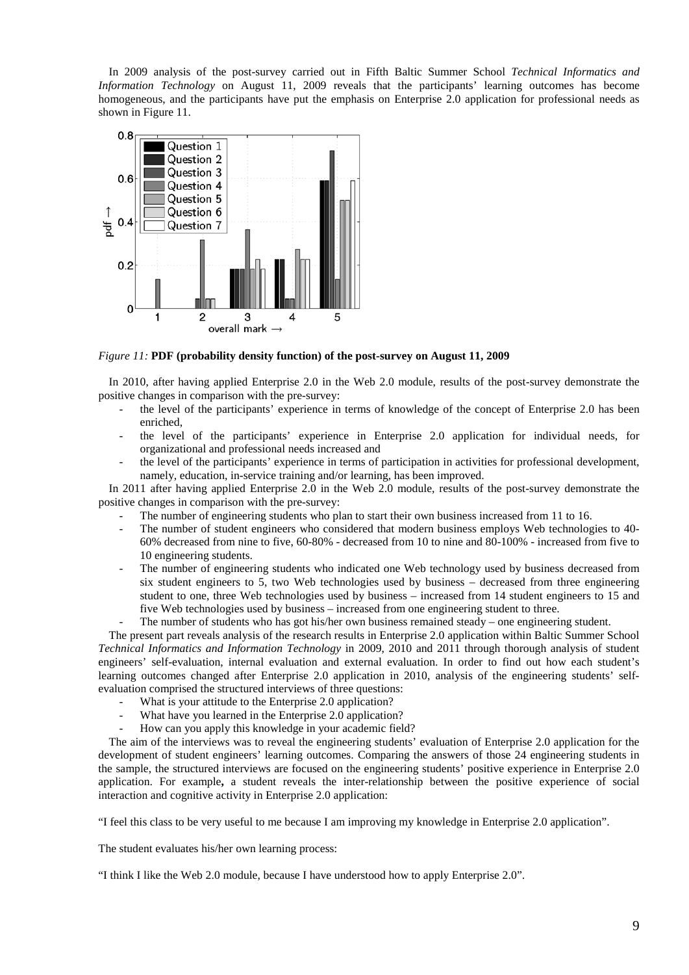In 2009 analysis of the post-survey carried out in Fifth Baltic Summer School *Technical Informatics and Information Technology* on August 11, 2009 reveals that the participants' learning outcomes has become homogeneous, and the participants have put the emphasis on Enterprise 2.0 application for professional needs as shown in Figure 11.



*Figure 11:* **PDF (probability density function) of the post-survey on August 11, 2009**

In 2010, after having applied Enterprise 2.0 in the Web 2.0 module, results of the post-survey demonstrate the positive changes in comparison with the pre-survey:

- the level of the participants' experience in terms of knowledge of the concept of Enterprise 2.0 has been enriched,
- the level of the participants' experience in Enterprise 2.0 application for individual needs, for organizational and professional needs increased and
- the level of the participants' experience in terms of participation in activities for professional development, namely, education, in-service training and/or learning, has been improved.

In 2011 after having applied Enterprise 2.0 in the Web 2.0 module, results of the post-survey demonstrate the positive changes in comparison with the pre-survey:

- The number of engineering students who plan to start their own business increased from 11 to 16.
- The number of student engineers who considered that modern business employs Web technologies to 40- 60% decreased from nine to five, 60-80% - decreased from 10 to nine and 80-100% - increased from five to 10 engineering students.
- The number of engineering students who indicated one Web technology used by business decreased from six student engineers to 5, two Web technologies used by business – decreased from three engineering student to one, three Web technologies used by business – increased from 14 student engineers to 15 and five Web technologies used by business – increased from one engineering student to three.
- The number of students who has got his/her own business remained steady one engineering student.

The present part reveals analysis of the research results in Enterprise 2.0 application within Baltic Summer School *Technical Informatics and Information Technology* in 2009, 2010 and 2011 through thorough analysis of student engineers' self-evaluation, internal evaluation and external evaluation. In order to find out how each student's learning outcomes changed after Enterprise 2.0 application in 2010, analysis of the engineering students' selfevaluation comprised the structured interviews of three questions:

- What is your attitude to the Enterprise 2.0 application?
- What have you learned in the Enterprise 2.0 application?
- How can you apply this knowledge in your academic field?

The aim of the interviews was to reveal the engineering students' evaluation of Enterprise 2.0 application for the development of student engineers' learning outcomes. Comparing the answers of those 24 engineering students in the sample, the structured interviews are focused on the engineering students' positive experience in Enterprise 2.0 application. For example**,** a student reveals the inter-relationship between the positive experience of social interaction and cognitive activity in Enterprise 2.0 application:

"I feel this class to be very useful to me because I am improving my knowledge in Enterprise 2.0 application".

The student evaluates his/her own learning process:

"I think I like the Web 2.0 module, because I have understood how to apply Enterprise 2.0".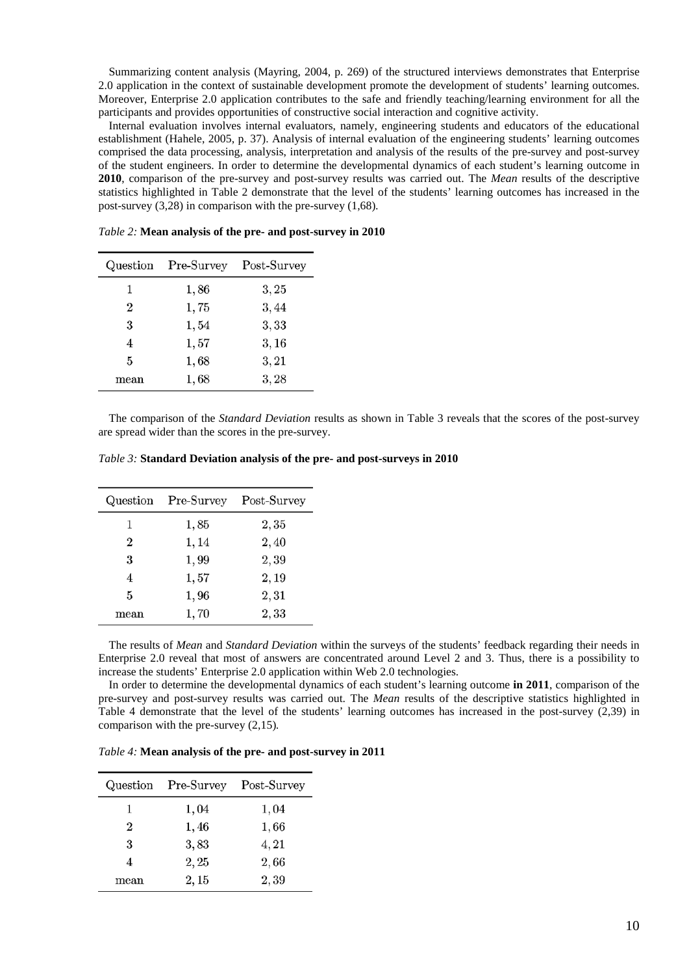Summarizing content analysis (Mayring, 2004, p. 269) of the structured interviews demonstrates that Enterprise 2.0 application in the context of sustainable development promote the development of students' learning outcomes. Moreover, Enterprise 2.0 application contributes to the safe and friendly teaching/learning environment for all the participants and provides opportunities of constructive social interaction and cognitive activity.

Internal evaluation involves internal evaluators, namely, engineering students and educators of the educational establishment (Hahele, 2005, p. 37). Analysis of internal evaluation of the engineering students' learning outcomes comprised the data processing, analysis, interpretation and analysis of the results of the pre-survey and post-survey of the student engineers. In order to determine the developmental dynamics of each student's learning outcome in **2010**, comparison of the pre-survey and post-survey results was carried out. The *Mean* results of the descriptive statistics highlighted in Table 2 demonstrate that the level of the students' learning outcomes has increased in the post-survey (3,28) in comparison with the pre-survey (1,68)*.*

|      | Question Pre-Survey | Post-Survey |  |
|------|---------------------|-------------|--|
| 1    | 1,86                | 3, 25       |  |
| 2    | 1,75                | 3,44        |  |
| 3    | 1,54                | 3,33        |  |
| 4    | 1,57                | 3, 16       |  |
| 5    | 1,68                | 3, 21       |  |
| mean | 1,68                | 3,28        |  |

*Table 2:* **Mean analysis of the pre- and post-survey in 2010**

The comparison of the *Standard Deviation* results as shown in Table 3 reveals that the scores of the post-survey are spread wider than the scores in the pre-survey.

| Table 3: Standard Deviation analysis of the pre- and post-surveys in 2010 |  |  |  |
|---------------------------------------------------------------------------|--|--|--|
|---------------------------------------------------------------------------|--|--|--|

|                | Question Pre-Survey | Post-Survey |  |
|----------------|---------------------|-------------|--|
| 1              | 1,85                | 2,35        |  |
| $\overline{2}$ | 1, 14               | 2,40        |  |
| 3              | 1,99                | 2,39        |  |
| 4              | 1,57                | 2,19        |  |
| 5              | 1,96                | 2,31        |  |
| mean           | 1,70                | 2,33        |  |

The results of *Mean* and *Standard Deviation* within the surveys of the students' feedback regarding their needs in Enterprise 2.0 reveal that most of answers are concentrated around Level 2 and 3. Thus, there is a possibility to increase the students' Enterprise 2.0 application within Web 2.0 technologies.

In order to determine the developmental dynamics of each student's learning outcome **in 2011**, comparison of the pre-survey and post-survey results was carried out. The *Mean* results of the descriptive statistics highlighted in Table 4 demonstrate that the level of the students' learning outcomes has increased in the post-survey (2,39) in comparison with the pre-survey (2,15)*.*

*Table 4:* **Mean analysis of the pre- and post-survey in 2011**

|      | Question Pre-Survey Post-Survey |       |  |
|------|---------------------------------|-------|--|
| 1    | 1,04                            | 1,04  |  |
| 2    | 1,46                            | 1,66  |  |
| 3    | 3,83                            | 4, 21 |  |
| 4    | 2, 25                           | 2,66  |  |
| mean | 2,15                            | 2,39  |  |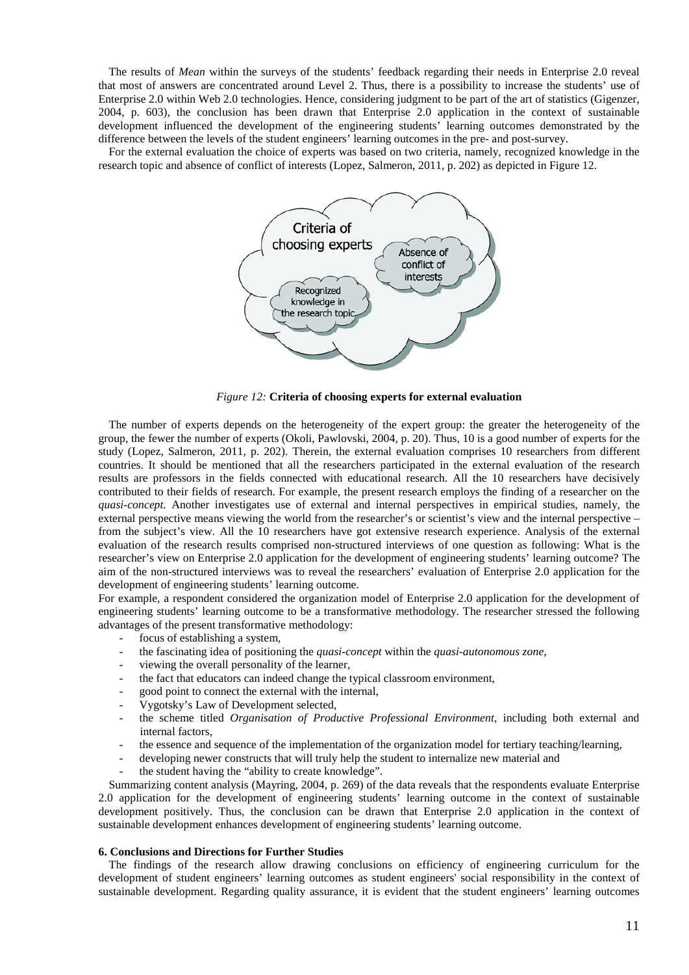The results of *Mean* within the surveys of the students' feedback regarding their needs in Enterprise 2.0 reveal that most of answers are concentrated around Level 2. Thus, there is a possibility to increase the students' use of Enterprise 2.0 within Web 2.0 technologies. Hence, considering judgment to be part of the art of statistics (Gigenzer, 2004, p. 603), the conclusion has been drawn that Enterprise 2.0 application in the context of sustainable development influenced the development of the engineering students' learning outcomes demonstrated by the difference between the levels of the student engineers' learning outcomes in the pre- and post-survey.

For the external evaluation the choice of experts was based on two criteria, namely, recognized knowledge in the research topic and absence of conflict of interests (Lopez, Salmeron, 2011, p. 202) as depicted in Figure 12.



*Figure 12:* **Criteria of choosing experts for external evaluation**

The number of experts depends on the heterogeneity of the expert group: the greater the heterogeneity of the group, the fewer the number of experts (Okoli, Pawlovski, 2004, p. 20). Thus, 10 is a good number of experts for the study (Lopez, Salmeron, 2011, p. 202). Therein, the external evaluation comprises 10 researchers from different countries. It should be mentioned that all the researchers participated in the external evaluation of the research results are professors in the fields connected with educational research. All the 10 researchers have decisively contributed to their fields of research. For example, the present research employs the finding of a researcher on the *quasi-concept.* Another investigates use of external and internal perspectives in empirical studies, namely, the external perspective means viewing the world from the researcher's or scientist's view and the internal perspective – from the subject's view. All the 10 researchers have got extensive research experience. Analysis of the external evaluation of the research results comprised non-structured interviews of one question as following: What is the researcher's view on Enterprise 2.0 application for the development of engineering students' learning outcome? The aim of the non-structured interviews was to reveal the researchers' evaluation of Enterprise 2.0 application for the development of engineering students' learning outcome.

For example, a respondent considered the organization model of Enterprise 2.0 application for the development of engineering students' learning outcome to be a transformative methodology. The researcher stressed the following advantages of the present transformative methodology:

- focus of establishing a system*,*
- the fascinating idea of positioning the *quasi-concept* within the *quasi-autonomous zone*,
- viewing the overall personality of the learner,
- the fact that educators can indeed change the typical classroom environment,
- good point to connect the external with the internal,
- Vygotsky's Law of Development selected,
- the scheme titled *Organisation of Productive Professional Environment*, including both external and internal factors,
- the essence and sequence of the implementation of the organization model for tertiary teaching/learning,
- developing newer constructs that will truly help the student to internalize new material and
- the student having the "ability to create knowledge".

Summarizing content analysis (Mayring, 2004, p. 269) of the data reveals that the respondents evaluate Enterprise 2.0 application for the development of engineering students' learning outcome in the context of sustainable development positively. Thus, the conclusion can be drawn that Enterprise 2.0 application in the context of sustainable development enhances development of engineering students' learning outcome.

#### **6. Conclusions and Directions for Further Studies**

The findings of the research allow drawing conclusions on efficiency of engineering curriculum for the development of student engineers' learning outcomes as student engineers' social responsibility in the context of sustainable development. Regarding quality assurance, it is evident that the student engineers' learning outcomes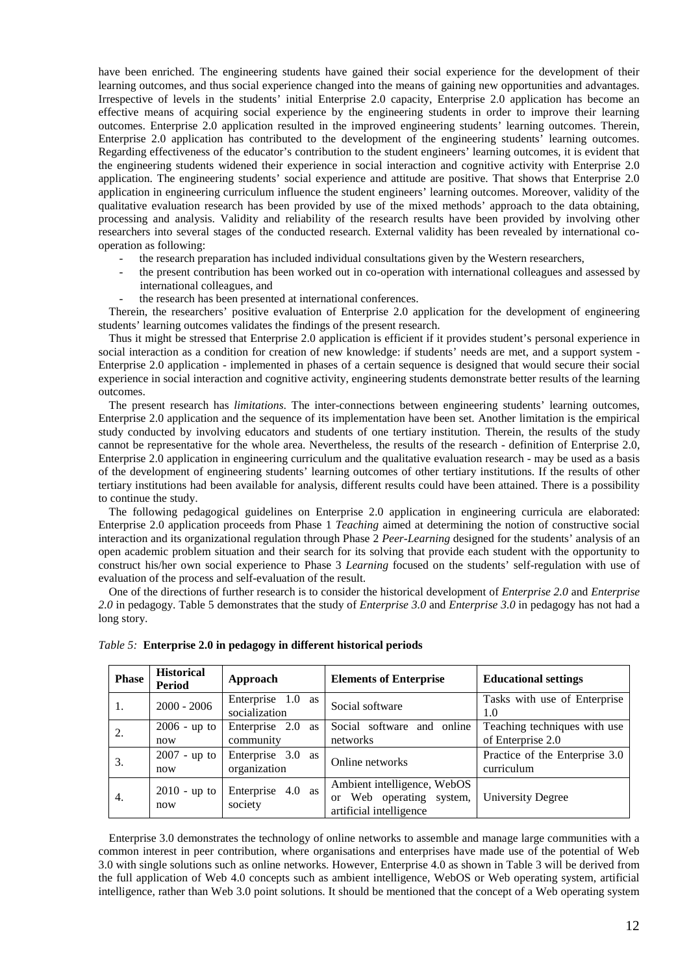have been enriched. The engineering students have gained their social experience for the development of their learning outcomes, and thus social experience changed into the means of gaining new opportunities and advantages. Irrespective of levels in the students' initial Enterprise 2.0 capacity, Enterprise 2.0 application has become an effective means of acquiring social experience by the engineering students in order to improve their learning outcomes. Enterprise 2.0 application resulted in the improved engineering students' learning outcomes. Therein, Enterprise 2.0 application has contributed to the development of the engineering students' learning outcomes. Regarding effectiveness of the educator's contribution to the student engineers' learning outcomes, it is evident that the engineering students widened their experience in social interaction and cognitive activity with Enterprise 2.0 application. The engineering students' social experience and attitude are positive. That shows that Enterprise 2.0 application in engineering curriculum influence the student engineers' learning outcomes. Moreover, validity of the qualitative evaluation research has been provided by use of the mixed methods' approach to the data obtaining, processing and analysis. Validity and reliability of the research results have been provided by involving other researchers into several stages of the conducted research. External validity has been revealed by international cooperation as following:

- the research preparation has included individual consultations given by the Western researchers,
- the present contribution has been worked out in co-operation with international colleagues and assessed by international colleagues, and
- the research has been presented at international conferences.

Therein, the researchers' positive evaluation of Enterprise 2.0 application for the development of engineering students' learning outcomes validates the findings of the present research.

Thus it might be stressed that Enterprise 2.0 application is efficient if it provides student's personal experience in social interaction as a condition for creation of new knowledge: if students' needs are met, and a support system - Enterprise 2.0 application - implemented in phases of a certain sequence is designed that would secure their social experience in social interaction and cognitive activity, engineering students demonstrate better results of the learning outcomes.

The present research has *limitations*. The inter-connections between engineering students' learning outcomes, Enterprise 2.0 application and the sequence of its implementation have been set. Another limitation is the empirical study conducted by involving educators and students of one tertiary institution. Therein, the results of the study cannot be representative for the whole area. Nevertheless, the results of the research - definition of Enterprise 2.0, Enterprise 2.0 application in engineering curriculum and the qualitative evaluation research - may be used as a basis of the development of engineering students' learning outcomes of other tertiary institutions. If the results of other tertiary institutions had been available for analysis, different results could have been attained. There is a possibility to continue the study.

The following pedagogical guidelines on Enterprise 2.0 application in engineering curricula are elaborated: Enterprise 2.0 application proceeds from Phase 1 *Teaching* aimed at determining the notion of constructive social interaction and its organizational regulation through Phase 2 *Peer-Learning* designed for the students' analysis of an open academic problem situation and their search for its solving that provide each student with the opportunity to construct his/her own social experience to Phase 3 *Learning* focused on the students' self-regulation with use of evaluation of the process and self-evaluation of the result.

One of the directions of further research is to consider the historical development of *Enterprise 2.0* and *Enterprise 2.0* in pedagogy. Table 5 demonstrates that the study of *Enterprise 3.0* and *Enterprise 3.0* in pedagogy has not had a long story.

| <b>Phase</b> | <b>Historical</b><br><b>Period</b> | Approach                           | <b>Elements of Enterprise</b>                                                               | <b>Educational settings</b>                       |
|--------------|------------------------------------|------------------------------------|---------------------------------------------------------------------------------------------|---------------------------------------------------|
| 1.           | $2000 - 2006$                      | Enterprise 1.0 as<br>socialization | Social software                                                                             | Tasks with use of Enterprise<br>1.0               |
| 2.           | $2006 - up to$<br>now              | Enterprise 2.0 as<br>community     | Social software and online<br>networks                                                      | Teaching techniques with use<br>of Enterprise 2.0 |
| 3.           | $2007 - up to$<br>now              | Enterprise 3.0 as<br>organization  | Online networks                                                                             | Practice of the Enterprise 3.0<br>curriculum      |
| 4.           | $2010 - up to$<br>now              | Enterprise 4.0 as<br>society       | Ambient intelligence, WebOS<br>Web operating system,<br>$\alpha$<br>artificial intelligence | University Degree                                 |

*Table 5:* **Enterprise 2.0 in pedagogy in different historical periods**

Enterprise 3.0 demonstrates the technology of online networks to assemble and manage large communities with a common interest in peer contribution, where organisations and enterprises have made use of the potential of Web 3.0 with single solutions such as online networks. However, Enterprise 4.0 as shown in Table 3 will be derived from the full application of Web 4.0 concepts such as ambient intelligence, WebOS or Web operating system, artificial intelligence, rather than Web 3.0 point solutions. It should be mentioned that the concept of a Web operating system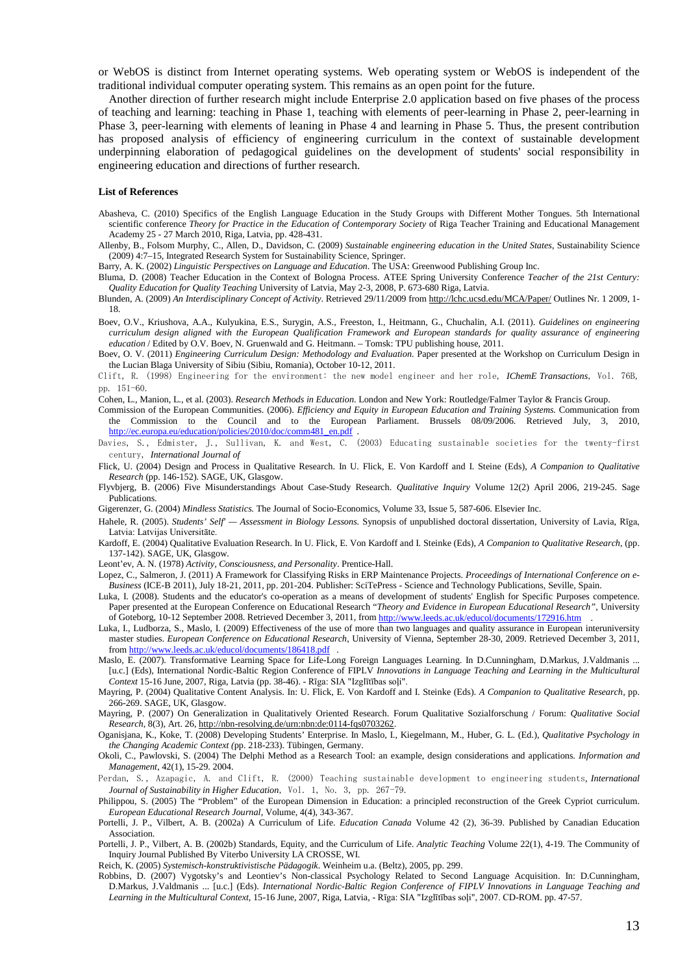or WebOS is distinct from Internet operating systems. Web operating system or WebOS is independent of the traditional individual computer operating system. This remains as an open point for the future.

Another direction of further research might include Enterprise 2.0 application based on five phases of the process of teaching and learning: teaching in Phase 1, teaching with elements of peer-learning in Phase 2, peer-learning in Phase 3, peer-learning with elements of leaning in Phase 4 and learning in Phase 5. Thus, the present contribution has proposed analysis of efficiency of engineering curriculum in the context of sustainable development underpinning elaboration of pedagogical guidelines on the development of students' social responsibility in engineering education and directions of further research.

#### **List of References**

- Abasheva, C. (2010) Specifics of the English Language Education in the Study Groups with Different Mother Tongues. 5th International scientific conference *Theory for Practice in the Education of Contemporary Society* of Riga Teacher Training and Educational Management Academy 25 - 27 March 2010, Riga, Latvia, pp. 428-431.
- Allenby, B., Folsom Murphy, C., Allen, D., Davidson, C. (2009) *Sustainable engineering education in the United States*, Sustainability Science (2009) 4:7–15, Integrated Research System for Sustainability Science, Springer.

Barry, A. K. (2002) *Linguistic Perspectives on Language and Education*. The USA: Greenwood Publishing Group Inc.

- Bluma, D. (2008) Teacher Education in the Context of Bologna Process*.* ATEE Spring University Conference *Teacher of the 21st Century: Quality Education for Quality Teaching* University of Latvia, May 2-3, 2008, P. 673-680 Riga, Latvia.
- Blunden, A. (2009) *An Interdisciplinary Concept of Activity*. Retrieved 29/11/2009 fro[m http://lchc.ucsd.edu/MCA/Paper/](http://lchc.ucsd.edu/MCA/Paper/) Outlines Nr. 1 2009, 1- 18.
- Boev, O.V., Kriushova, A.A., Kulyukina, E.S., Surygin, A.S., Freeston, I., Heitmann, G., Chuchalin, A.I. (2011). *Guidelines on engineering curriculum design aligned with the European Qualification Framework and European standards for quality assurance of engineering education* / Edited by O.V. Boev, N. Gruenwald and G. Heitmann. – Tomsk: TPU publishing house, 2011.
- Boev, O. V. (2011) *Engineering Curriculum Design: Methodology and Evaluation*. Paper presented at the Workshop on Curriculum Design in the Lucian Blaga University of Sibiu (Sibiu, Romania), October 10-12, 2011.
- Clift, R. (1998) Engineering for the environment: the new model engineer and her role, *IChemE Transactions*, Vol. 76B, pp. 151-60.
- Cohen, L., Manion, L., et al. (2003). *Research Methods in Education*. London and New York: Routledge/Falmer Taylor & Francis Group.
- Commission of the European Communities. (2006). *Efficiency and Equity in European Education and Training Systems.* Communication from the Commission to the Council and to the European Parliament. Brussels 08/09/2006. Retrieved July, 3, 2010, [http://ec.europa.eu/education/policies/2010/doc/comm481\\_en.pdf](http://ec.europa.eu/education/policies/2010/doc/comm481_en.pdf) .
- Davies, S., Edmister, J., Sullivan, K. and West, C. (2003) Educating sustainable societies for the twenty-first century, *International Journal of*
- Flick, U. (2004) Design and Process in Qualitative Research. In U. Flick, E. Von Kardoff and I. Steine (Eds), *A Companion to Qualitative Research* (pp. 146-152). SAGE, UK, Glasgow.
- Flyvbjerg, B. (2006) Five Misunderstandings About Case-Study Research. *Qualitative Inquiry* Volume 12(2) April 2006, 219-245. Sage Publications.
- Gigerenzer, G. (2004) *Mindless Statistics.* The Journal of Socio-Economics, Volume 33, Issue 5, 587-606. Elsevier Inc.
- Hahele, R. (2005). *Students' Self' — Assessment in Biology Lessons.* Synopsis of unpublished doctoral dissertation, University of Lavia, Rīga, Latvia: Latvijas Universitāte.
- Kardoff, E. (2004) Qualitative Evaluation Research. In U. Flick, E. Von Kardoff and I. Steinke (Eds), *A Companion to Qualitative Research,* (pp. 137-142). SAGE, UK, Glasgow.
- Leont'ev, A. N. (1978) *Activity, Consciousness, and Personality*. Prentice-Hall.
- Lopez, C., Salmeron, J. (2011) A Framework for Classifying Risks in ERP Maintenance Projects. *Proceedings of International Conference on e-Business* (ICE-B 2011), July 18-21, 2011, pp. 201-204. Publisher: SciTePress - Science and Technology Publications, Seville, Spain.
- Luka, I. (2008). Students and the educator's co-operation as a means of development of students' English for Specific Purposes competence. Paper presented at the European Conference on Educational Research "*Theory and Evidence in European Educational Research"*, University of Goteborg, 10-12 September 2008. Retrieved December 3, 2011, fro[m http://www.leeds.ac.uk/educol/documents/172916.htm](http://www.leeds.ac.uk/educol/documents/172916.htm) .
- Luka, I., Ludborza, S., Maslo, I. (2009) Effectiveness of the use of more than two languages and quality assurance in European interuniversity master studies. *European Conference on Educational Research*, University of Vienna, September 28-30, 2009. Retrieved December 3, 2011, fro[m http://www.leeds.ac.uk/educol/documents/186418.pdf](http://www.leeds.ac.uk/educol/documents/186418.pdf) .
- Maslo, E. (2007). Transformative Learning Space for Life-Long Foreign Languages Learning. In D.Cunningham, D.Markus, J.Valdmanis ... [u.c.] (Eds), International Nordic-Baltic Region Conference of FIPLV *Innovations in Language Teaching and Learning in the Multicultural Context* 15-16 June, 2007, Riga, Latvia (pp. 38-46). - Rīga: SIA "Izglītības soļi".
- Mayring, P. (2004) Qualitative Content Analysis. In: U. Flick, E. Von Kardoff and I. Steinke (Eds). *A Companion to Qualitative Research,* pp. 266-269. SAGE, UK, Glasgow.
- Mayring, P. (2007) On Generalization in Qualitatively Oriented Research. Forum Qualitative Sozialforschung / Forum: *Qualitative Social Research*, 8(3), Art. 26, [http://nbn-resolving.de/urn:nbn:de:0114-fqs0703262.](http://nbn-resolving.de/urn:nbn:de:0114-fqs0703262)
- Oganisjana, K., Koke, T. (2008) Developing Students' Enterprise. In Maslo, I., Kiegelmann, M., Huber, G. L. (Ed.), *Qualitative Psychology in the Changing Academic Context (*pp. 218-233). Tübingen, Germany.
- Okoli, C., Pawlovski, S. (2004) The Delphi Method as a Research Tool: an example, design considerations and applications. *Information and Management*, 42(1), 15-29. 2004.
- Perdan, S., Azapagic, A. and Clift, R. (2000) Teaching sustainable development to engineering students*, International Journal of Sustainability in Higher Education*, Vol. 1, No. 3, pp. 267-79.
- Philippou, S. (2005) The "Problem" of the European Dimension in Education: a principled reconstruction of the Greek Cypriot curriculum. *European Educational Research Journal*, Volume, 4(4), 343-367.
- Portelli, J. P., Vilbert, A. B. (2002a) A Curriculum of Life. *Education Canada* Volume 42 (2), 36-39. Published by Canadian Education Association.
- Portelli, J. P., Vilbert, A. B. (2002b) Standards, Equity, and the Curriculum of Life. *Analytic Teaching* Volume 22(1), 4-19. The Community of Inquiry Journal Published By Viterbo University LA CROSSE, WI.
- Reich, K. (2005) *Systemisch-konstruktivistische Pädagogik*. Weinheim u.a. (Beltz), 2005, pp. 299.
- Robbins, D. (2007) Vygotsky's and Leontiev's Non-classical Psychology Related to Second Language Acquisition. In: D.Cunningham, D.Markus, J.Valdmanis ... [u.c.] (Eds). *International Nordic-Baltic Region Conference of FIPLV Innovations in Language Teaching and Learning in the Multicultural Context*, 15-16 June, 2007, Riga, Latvia, - Rīga: SIA "Izglītības soļi", 2007. CD-ROM. pp. 47-57.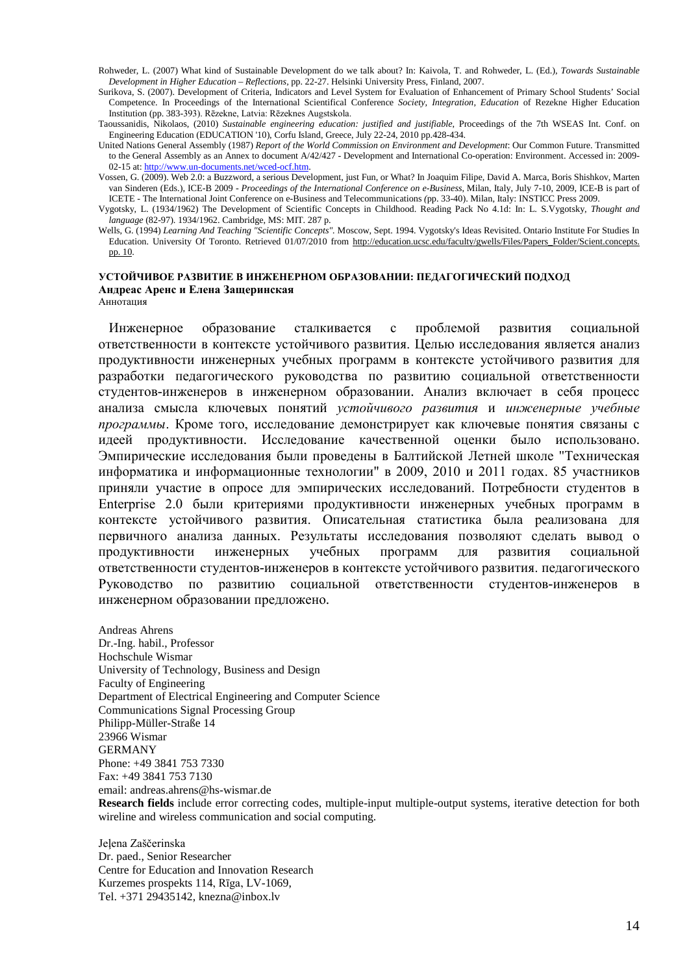- Rohweder, L. (2007) What kind of Sustainable Development do we talk about? In: Kaivola, T. and Rohweder, L. (Ed.), *Towards Sustainable Development in Higher Education – Reflections,* pp. 22-27. Helsinki University Press, Finland, 2007.
- Surikova, S. (2007). Development of Criteria, Indicators and Level System for Evaluation of Enhancement of Primary School Students' Social Competence. In Proceedings of the International Scientifical Conference *Society, Integration, Education* of Rezekne Higher Education Institution (pp. 383-393). Rēzekne, Latvia: Rēzeknes Augstskola.
- Taoussanidis, Nikolaos, (2010) *Sustainable engineering education: justified and justifiable*, Proceedings of the 7th WSEAS Int. Conf. on Engineering Education (EDUCATION '10), Corfu Island, Greece, July 22-24, 2010 pp.428-434.
- United Nations General Assembly (1987) *Report of the World Commission on Environment and Development*: Our Common Future. Transmitted to the General Assembly as an Annex to document A/42/427 - Development and International Co-operation: Environment. Accessed in: 2009- 02-15 at[: http://www.un-documents.net/wced-ocf.htm.](http://www.un-documents.net/wced-ocf.htm)
- Vossen, G. (2009). Web 2.0: a Buzzword, a serious Development, just Fun, or What? In Joaquim Filipe, David A. Marca, Boris Shishkov, Marten van Sinderen (Eds.), ICE-B 2009 - *Proceedings of the International Conference on e-Business*, Milan, Italy, July 7-10, 2009, ICE-B is part of ICETE - The International Joint Conference on e-Business and Telecommunications *(*pp. 33-40). Milan, Italy: INSTICC Press 2009.
- Vygotsky, L. (1934/1962) The Development of Scientific Concepts in Childhood. Reading Pack No 4.1d: In: L. S.Vygotsky, *Thought and language* (82-97). 1934/1962. Cambridge, MS: MIT. 287 p.
- Wells, G. (1994) *Learning And Teaching "Scientific Concepts".* Moscow, Sept. 1994. Vygotsky's Ideas Revisited. Ontario Institute For Studies In Education. University Of Toronto. Retrieved 01/07/2010 from [http://education.ucsc.edu/faculty/gwells/Files/Papers\\_Folder/Scient.concepts.](http://education.ucsc.edu/faculty/gwells/Files/Papers_Folder/Scient.concepts.%20pp.%2010)  [pp. 10.](http://education.ucsc.edu/faculty/gwells/Files/Papers_Folder/Scient.concepts.%20pp.%2010)

#### **УСТОЙЧИВОЕ РАЗВИТИЕ В ИНЖЕНЕРНОМ ОБРАЗОВАНИИ: ПЕДАГОГИЧЕСКИЙ ПОДХОД Андреас Аренс и Елена Защеринская** Аннотация

Инженерное образование сталкивается с проблемой развития социальной ответственности в контексте устойчивого развития. Целью исследования является анализ продуктивности инженерных учебных программ в контексте устойчивого развития для разработки педагогического руководства по развитию социальной ответственности студентов-инженеров в инженерном образовании. Анализ включает в себя процесс анализа смысла ключевых понятий *устойчивого развития* и *инженерные учебные программы*. Кроме того, исследование демонстрирует как ключевые понятия связаны с идеей продуктивности. Исследование качественной оценки было использовано. Эмпирические исследования были проведены в Балтийской Летней школе "Техническая информатика и информационные технологии" в 2009, 2010 и 2011 годах. 85 участников приняли участие в опросе для эмпирических исследований. Потребности студентов в Enterprise 2.0 были критериями продуктивности инженерных учебных программ в контексте устойчивого развития. Описательная статистика была реализована для первичного анализа данных. Результаты исследования позволяют сделать вывод о продуктивности инженерных учебных программ для развития социальной ответственности студентов-инженеров в контексте устойчивого развития. педагогического Руководство по развитию социальной ответственности студентов-инженеров инженерном образовании предложено.

Andreas Ahrens Dr.-Ing. habil., Professor Hochschule Wismar University of Technology, Business and Design Faculty of Engineering Department of Electrical Engineering and Computer Science Communications Signal Processing Group Philipp-Müller-Straße 14 23966 Wismar GERMANY Phone: +49 3841 753 7330 Fax: +49 3841 753 7130 email: andreas.ahrens@hs-wismar.de

**Research fields** include error correcting codes, multiple-input multiple-output systems, iterative detection for both wireline and wireless communication and social computing.

Jeļena Zaščerinska Dr. paed., Senior Researcher Centre for Education and Innovation Research Kurzemes prospekts 114, Rīga, LV-1069, Tel. +371 29435142, knezna@inbox.lv